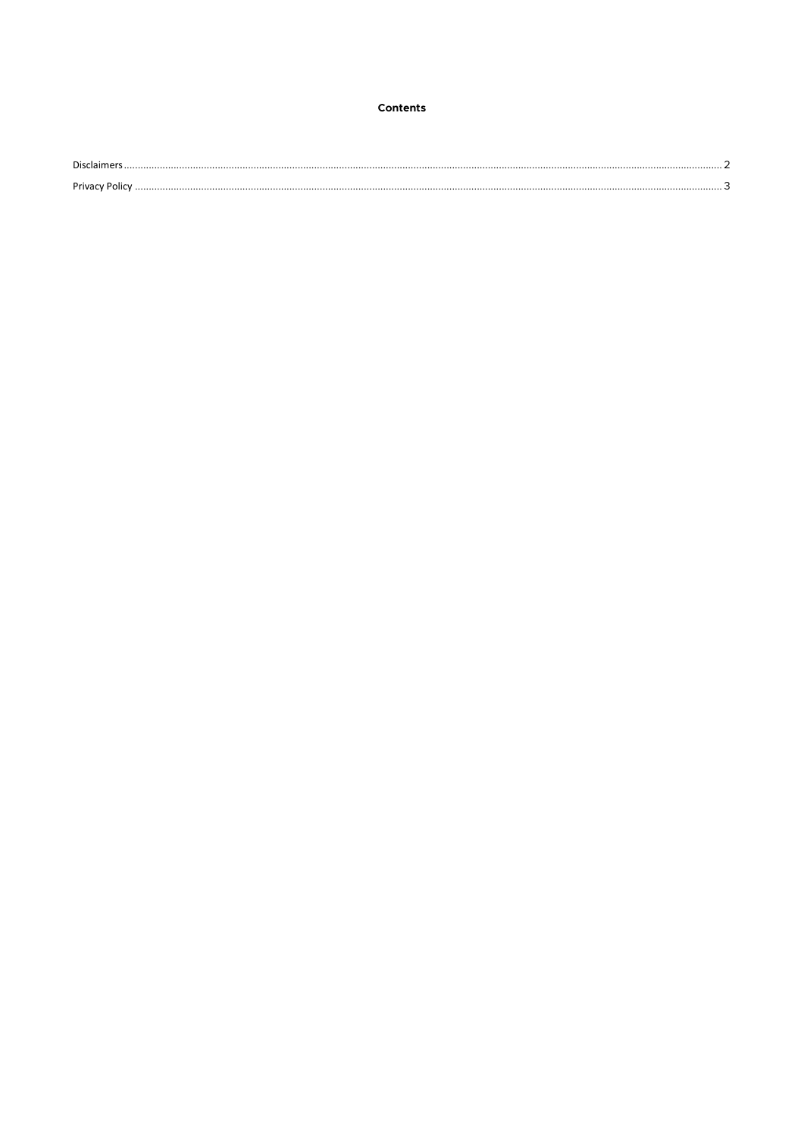# Contents

| - - |  |
|-----|--|
| 1   |  |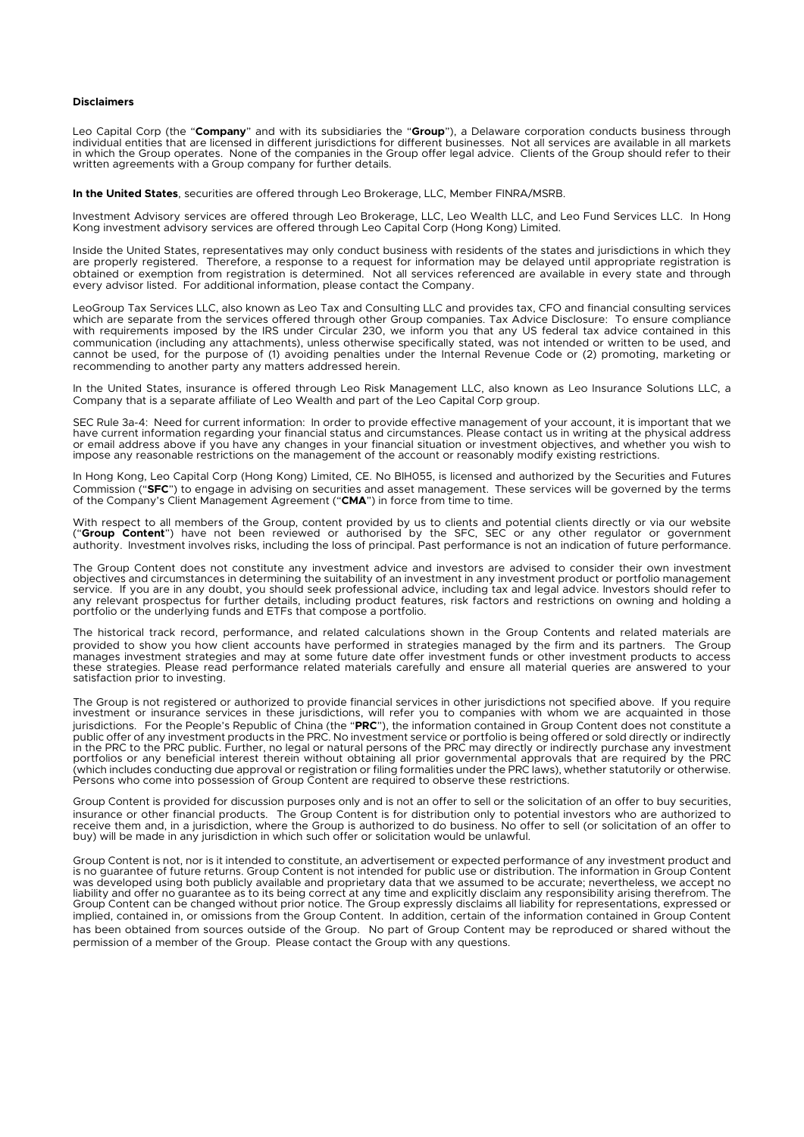#### <span id="page-1-0"></span>**Disclaimers**

Leo Capital Corp (the "**Company**" and with its subsidiaries the "**Group**"), a Delaware corporation conducts business through individual entities that are licensed in different jurisdictions for different businesses. Not all services are available in all markets in which the Group operates. None of the companies in the Group offer legal advice. Clients of the Group should refer to their written agreements with a Group company for further details.

**In the United States**, securities are offered through Leo Brokerage, LLC, Member FINRA/MSRB.

Investment Advisory services are offered through Leo Brokerage, LLC, Leo Wealth LLC, and Leo Fund Services LLC. In Hong Kong investment advisory services are offered through Leo Capital Corp (Hong Kong) Limited.

Inside the United States, representatives may only conduct business with residents of the states and jurisdictions in which they are properly registered. Therefore, a response to a request for information may be delayed until appropriate registration is obtained or exemption from registration is determined. Not all services referenced are available in every state and through every advisor listed. For additional information, please contact the Company.

LeoGroup Tax Services LLC, also known as Leo Tax and Consulting LLC and provides tax, CFO and financial consulting services which are separate from the services offered through other Group companies. Tax Advice Disclosure: To ensure compliance with requirements imposed by the IRS under Circular 230, we inform you that any US federal tax advice contained in this with requirements imposed by the IRS under Circular 230, we inform you that any US federal tax advice communication (including any attachments), unless otherwise specifically stated, was not intended or written to be used, and cannot be used, for the purpose of (1) avoiding penalties under the Internal Revenue Code or (2) promoting, marketing or recommending to another party any matters addressed herein.

In the United States, insurance is offered through Leo Risk Management LLC, also known as Leo Insurance Solutions LLC, a Company that is a separate affiliate of Leo Wealth and part of the Leo Capital Corp group.

SEC Rule 3a-4: Need for current information: In order to provide effective management of your account, it is important that we have current information regarding your financial status and circumstances. Please contact us in writing at the physical address or email address above if you have any changes in your financial situation or investment objectives, and whether you wish to impose any reasonable restrictions on the management of the account or reasonably modify existing restrictions.

In Hong Kong, Leo Capital Corp (Hong Kong) Limited, CE. No BIH055, is licensed and authorized by the Securities and Futures Commission ("**SFC**") to engage in advising on securities and asset management. These services will be governed by the terms of the Company's Client Management Agreement ("**CMA**") in force from time to time.

With respect to all members of the Group, content provided by us to clients and potential clients directly or via our website<br>("**Group Content**") have not been reviewed or authorised by the SFC, SEC or any other regulator authority. Investment involves risks, including the loss of principal. Past performance is not an indication of future performance.

The Group Content does not constitute any investment advice and investors are advised to consider their own investment objectives and circumstances in determining the suitability of an investment in any investment product or portfolio management service. If you are in any doubt, you should seek professional advice, including tax and legal advice. Investors should refer to any relevant prospectus for further details, including product features, risk factors and restrictions on owning and holding a portfolio or the underlying funds and ETFs that compose a portfolio.

The historical track record, performance, and related calculations shown in the Group Contents and related materials are provided to show you how client accounts have performed in strategies managed by the firm and its partners. The Group manages investment strategies and may at some future date offer investment funds or other investment products to access these strategies. Please read performance related materials carefully and ensure all material queries are answered to your satisfaction prior to investing.

The Group is not registered or authorized to provide financial services in other jurisdictions not specified above. If you require investment or insurance services in these jurisdictions, will refer you to companies with whom we are acquainted in those jurisdictions. For the People's Republic of China (the "**PRC**"), the information contained in Group Content does not constitute a public offer of any investment products in the PRC. No investment service or portfolio is being offered or sold directly or indirectly in the PRC to the PRC public. Further, no legal or natural persons of the PRC may directly or indirectly purchase any investment<br>portfolios or any beneficial interest therein without obtaining all prior governmental approv (which includes conducting due approval or registration or filing formalities under the PRC laws), whether statutorily or otherwise. Persons who come into possession of Group Content are required to observe these restrictions.

Group Content is provided for discussion purposes only and is not an offer to sell or the solicitation of an offer to buy securities, insurance or other financial products. The Group Content is for distribution only to potential investors who are authorized to receive them and, in a jurisdiction, where the Group is authorized to do business. No offer to sell (or solicitation of an offer to buy) will be made in any jurisdiction in which such offer or solicitation would be unlawful.

<span id="page-1-1"></span>Group Content is not, nor is it intended to constitute, an advertisement or expected performance of any investment product and is no guarantee of future returns. Group Content is not intended for public use or distribution. The information in Group Content was developed using both publicly available and proprietary data that we assumed to be accurate; nevertheless, we accept no liability and offer no guarantee as to its being correct at any time and explicitly disclaim any responsibility arising therefrom. The Group Content can be changed without prior notice. The Group expressly disclaims all liability for representations, expressed or implied, contained in, or omissions from the Group Content. In addition, certain of the information contained in Group Content has been obtained from sources outside of the Group. No part of Group Content may be reproduced or shared without the permission of a member of the Group. Please contact the Group with any questions.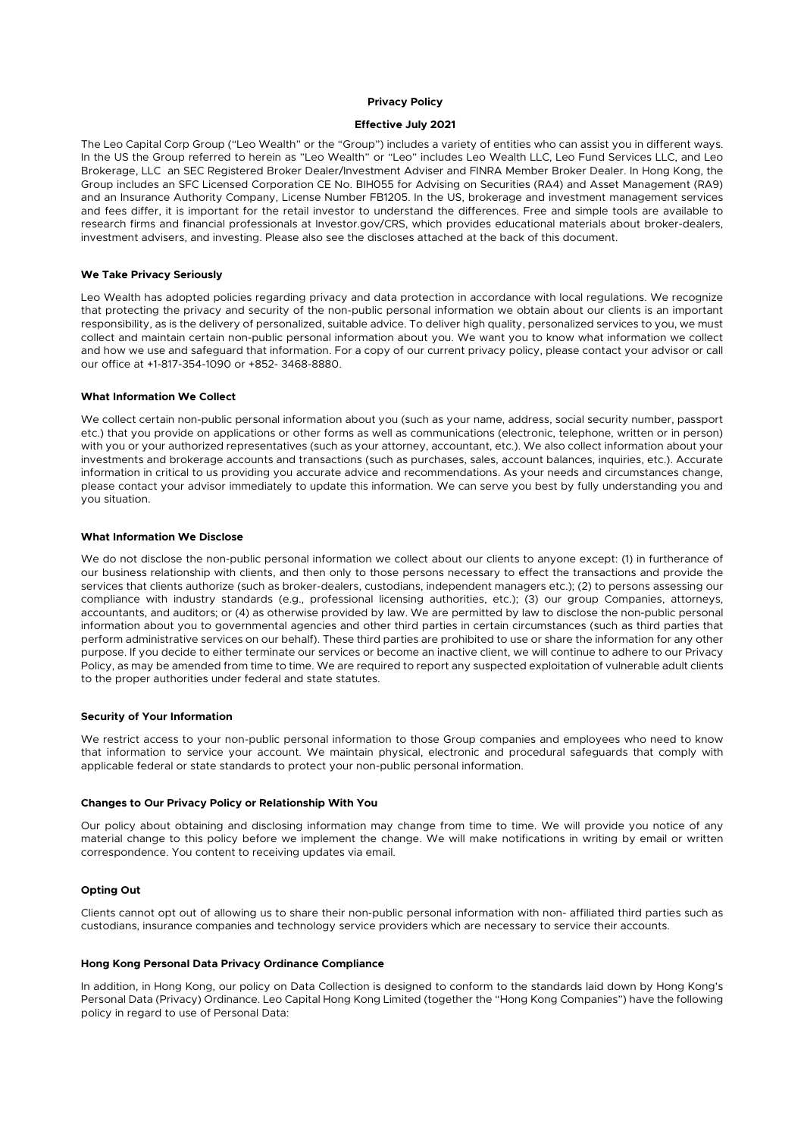## **Privacy Policy**

## **Effective July 2021**

The Leo Capital Corp Group ("Leo Wealth" or the "Group") includes a variety of entities who can assist you in different ways. In the US the Group referred to herein as "Leo Wealth" or "Leo" includes Leo Wealth LLC, Leo Fund Services LLC, and Leo Brokerage, LLC an SEC Registered Broker Dealer/Investment Adviser and FINRA Member Broker Dealer. In Hong Kong, the Group includes an SFC Licensed Corporation CE No. BIH055 for Advising on Securities (RA4) and Asset Management (RA9) and an Insurance Authority Company, License Number FB1205. In the US, brokerage and investment management services and fees differ, it is important for the retail investor to understand the differences. Free and simple tools are available to research firms and financial professionals at Investor.gov/CRS, which provides educational materials about broker-dealers, investment advisers, and investing. Please also see the discloses attached at the back of this document.

### **We Take Privacy Seriously**

Leo Wealth has adopted policies regarding privacy and data protection in accordance with local regulations. We recognize that protecting the privacy and security of the non-public personal information we obtain about our clients is an important responsibility, as is the delivery of personalized, suitable advice. To deliver high quality, personalized services to you, we must collect and maintain certain non-public personal information about you. We want you to know what information we collect and how we use and safeguard that information. For a copy of our current privacy policy, please contact your advisor or call our office at +1-817-354-1090 or +852- 3468-8880.

### **What Information We Collect**

We collect certain non-public personal information about you (such as your name, address, social security number, passport etc.) that you provide on applications or other forms as well as communications (electronic, telephone, written or in person) with you or your authorized representatives (such as your attorney, accountant, etc.). We also collect information about your investments and brokerage accounts and transactions (such as purchases, sales, account balances, inquiries, etc.). Accurate information in critical to us providing you accurate advice and recommendations. As your needs and circumstances change, please contact your advisor immediately to update this information. We can serve you best by fully understanding you and you situation.

### **What Information We Disclose**

We do not disclose the non-public personal information we collect about our clients to anyone except: (1) in furtherance of our business relationship with clients, and then only to those persons necessary to effect the transactions and provide the services that clients authorize (such as broker-dealers, custodians, independent managers etc.); (2) to persons assessing our compliance with industry standards (e.g., professional licensing authorities, etc.); (3) our group Companies, attorneys, accountants, and auditors; or (4) as otherwise provided by law. We are permitted by law to disclose the non-public personal information about you to governmental agencies and other third parties in certain circumstances (such as third parties that perform administrative services on our behalf). These third parties are prohibited to use or share the information for any other purpose. If you decide to either terminate our services or become an inactive client, we will continue to adhere to our Privacy Policy, as may be amended from time to time. We are required to report any suspected exploitation of vulnerable adult clients to the proper authorities under federal and state statutes.

## **Security of Your Information**

We restrict access to your non-public personal information to those Group companies and employees who need to know that information to service your account. We maintain physical, electronic and procedural safeguards that comply with applicable federal or state standards to protect your non-public personal information.

## **Changes to Our Privacy Policy or Relationship With You**

Our policy about obtaining and disclosing information may change from time to time. We will provide you notice of any material change to this policy before we implement the change. We will make notifications in writing by email or written correspondence. You content to receiving updates via email.

## **Opting Out**

Clients cannot opt out of allowing us to share their non-public personal information with non- affiliated third parties such as custodians, insurance companies and technology service providers which are necessary to service their accounts.

#### **Hong Kong Personal Data Privacy Ordinance Compliance**

In addition, in Hong Kong, our policy on Data Collection is designed to conform to the standards laid down by Hong Kong's Personal Data (Privacy) Ordinance. Leo Capital Hong Kong Limited (together the "Hong Kong Companies") have the following policy in regard to use of Personal Data: